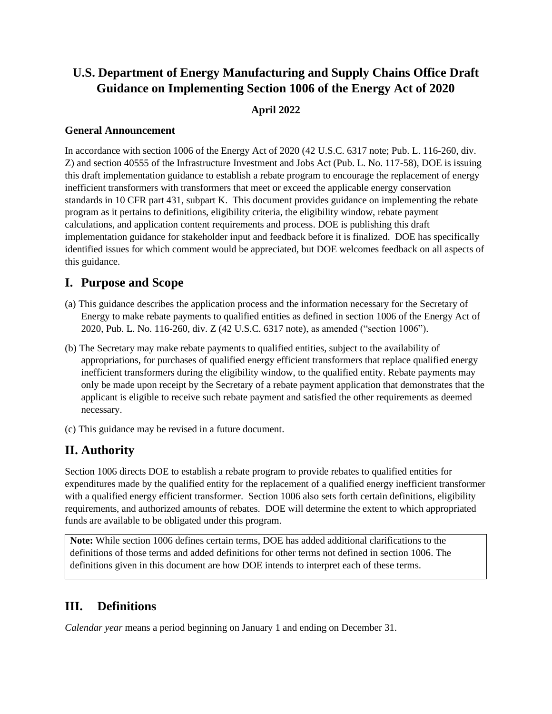# **U.S. Department of Energy Manufacturing and Supply Chains Office Draft Guidance on Implementing Section 1006 of the Energy Act of 2020**

#### **April 2022**

#### **General Announcement**

In accordance with section 1006 of the Energy Act of 2020 (42 U.S.C. 6317 note; Pub. L. 116-260, div. Z) and section 40555 of the Infrastructure Investment and Jobs Act (Pub. L. No. 117-58), DOE is issuing this draft implementation guidance to establish a rebate program to encourage the replacement of energy inefficient transformers with transformers that meet or exceed the applicable energy conservation standards in 10 CFR part 431, subpart K. This document provides guidance on implementing the rebate program as it pertains to definitions, eligibility criteria, the eligibility window, rebate payment calculations, and application content requirements and process. DOE is publishing this draft implementation guidance for stakeholder input and feedback before it is finalized. DOE has specifically identified issues for which comment would be appreciated, but DOE welcomes feedback on all aspects of this guidance.

### **I. Purpose and Scope**

- (a) This guidance describes the application process and the information necessary for the Secretary of Energy to make rebate payments to qualified entities as defined in section 1006 of the Energy Act of 2020, Pub. L. No. 116-260, div. Z (42 U.S.C. 6317 note), as amended ("section 1006").
- (b) The Secretary may make rebate payments to qualified entities, subject to the availability of appropriations, for purchases of qualified energy efficient transformers that replace qualified energy inefficient transformers during the eligibility window, to the qualified entity. Rebate payments may only be made upon receipt by the Secretary of a rebate payment application that demonstrates that the applicant is eligible to receive such rebate payment and satisfied the other requirements as deemed necessary.
- (c) This guidance may be revised in a future document.

# **II. Authority**

Section 1006 directs DOE to establish a rebate program to provide rebates to qualified entities for expenditures made by the qualified entity for the replacement of a qualified energy inefficient transformer with a qualified energy efficient transformer. Section 1006 also sets forth certain definitions, eligibility requirements, and authorized amounts of rebates. DOE will determine the extent to which appropriated funds are available to be obligated under this program.

**Note:** While section 1006 defines certain terms, DOE has added additional clarifications to the definitions of those terms and added definitions for other terms not defined in section 1006. The definitions given in this document are how DOE intends to interpret each of these terms.

### <span id="page-0-0"></span>**III. Definitions**

*Calendar year* means a period beginning on January 1 and ending on December 31.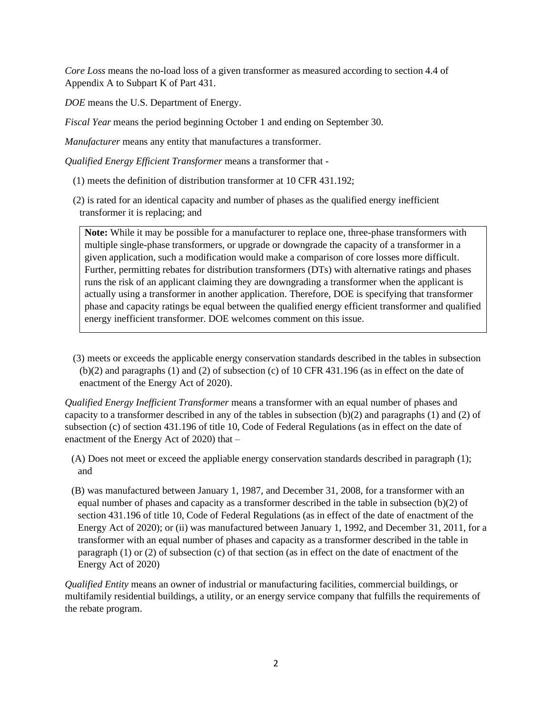*Core Loss* means the no-load loss of a given transformer as measured according to section 4.4 of Appendix A to Subpart K of Part 431.

*DOE* means the U.S. Department of Energy.

*Fiscal Year* means the period beginning October 1 and ending on September 30.

*Manufacturer* means any entity that manufactures a transformer.

*Qualified Energy Efficient Transformer* means a transformer that -

- (1) meets the definition of distribution transformer at 10 CFR 431.192;
- (2) is rated for an identical capacity and number of phases as the qualified energy inefficient transformer it is replacing; and

**Note:** While it may be possible for a manufacturer to replace one, three-phase transformers with multiple single-phase transformers, or upgrade or downgrade the capacity of a transformer in a given application, such a modification would make a comparison of core losses more difficult. Further, permitting rebates for distribution transformers (DTs) with alternative ratings and phases runs the risk of an applicant claiming they are downgrading a transformer when the applicant is actually using a transformer in another application. Therefore, DOE is specifying that transformer phase and capacity ratings be equal between the qualified energy efficient transformer and qualified energy inefficient transformer. DOE welcomes comment on this issue.

(3) meets or exceeds the applicable energy conservation standards described in the tables in subsection (b)(2) and paragraphs (1) and (2) of subsection (c) of 10 CFR 431.196 (as in effect on the date of enactment of the Energy Act of 2020).

*Qualified Energy Inefficient Transformer* means a transformer with an equal number of phases and capacity to a transformer described in any of the tables in subsection  $(b)(2)$  and paragraphs (1) and (2) of subsection (c) of section 431.196 of title 10, Code of Federal Regulations (as in effect on the date of enactment of the Energy Act of 2020) that –

- (A) Does not meet or exceed the appliable energy conservation standards described in paragraph (1); and
- (B) was manufactured between January 1, 1987, and December 31, 2008, for a transformer with an equal number of phases and capacity as a transformer described in the table in subsection (b)(2) of section 431.196 of title 10, Code of Federal Regulations (as in effect of the date of enactment of the Energy Act of 2020); or (ii) was manufactured between January 1, 1992, and December 31, 2011, for a transformer with an equal number of phases and capacity as a transformer described in the table in paragraph (1) or (2) of subsection (c) of that section (as in effect on the date of enactment of the Energy Act of 2020)

*Qualified Entity* means an owner of industrial or manufacturing facilities, commercial buildings, or multifamily residential buildings, a utility, or an energy service company that fulfills the requirements of the rebate program.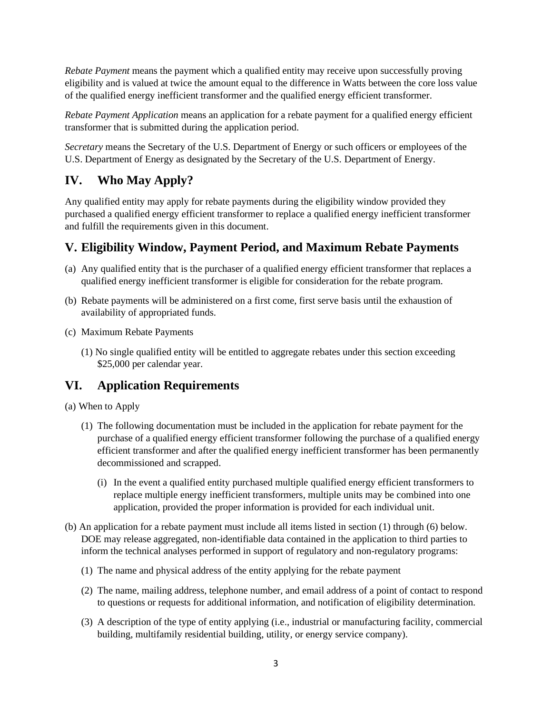*Rebate Payment* means the payment which a qualified entity may receive upon successfully proving eligibility and is valued at twice the amount equal to the difference in Watts between the core loss value of the qualified energy inefficient transformer and the qualified energy efficient transformer.

*Rebate Payment Application* means an application for a rebate payment for a qualified energy efficient transformer that is submitted during the application period.

*Secretary* means the Secretary of the U.S. Department of Energy or such officers or employees of the U.S. Department of Energy as designated by the Secretary of the U.S. Department of Energy.

# **IV. Who May Apply?**

Any qualified entity may apply for rebate payments during the eligibility window provided they purchased a qualified energy efficient transformer to replace a qualified energy inefficient transformer and fulfill the requirements given in this document.

# **V. Eligibility Window, Payment Period, and Maximum Rebate Payments**

- (a) Any qualified entity that is the purchaser of a qualified energy efficient transformer that replaces a qualified energy inefficient transformer is eligible for consideration for the rebate program.
- (b) Rebate payments will be administered on a first come, first serve basis until the exhaustion of availability of appropriated funds.
- (c) Maximum Rebate Payments
	- (1) No single qualified entity will be entitled to aggregate rebates under this section exceeding \$25,000 per calendar year.

### **VI. Application Requirements**

(a) When to Apply

- (1) The following documentation must be included in the application for rebate payment for the purchase of a qualified energy efficient transformer following the purchase of a qualified energy efficient transformer and after the qualified energy inefficient transformer has been permanently decommissioned and scrapped.
	- (i) In the event a qualified entity purchased multiple qualified energy efficient transformers to replace multiple energy inefficient transformers, multiple units may be combined into one application, provided the proper information is provided for each individual unit.
- <span id="page-2-0"></span>(b) An application for a rebate payment must include all items listed in section [\(1\)](#page-2-0) through [\(6\)](#page-3-0) below. DOE may release aggregated, non-identifiable data contained in the application to third parties to inform the technical analyses performed in support of regulatory and non-regulatory programs:
	- (1) The name and physical address of the entity applying for the rebate payment
	- (2) The name, mailing address, telephone number, and email address of a point of contact to respond to questions or requests for additional information, and notification of eligibility determination.
	- (3) A description of the type of entity applying (i.e., industrial or manufacturing facility, commercial building, multifamily residential building, utility, or energy service company).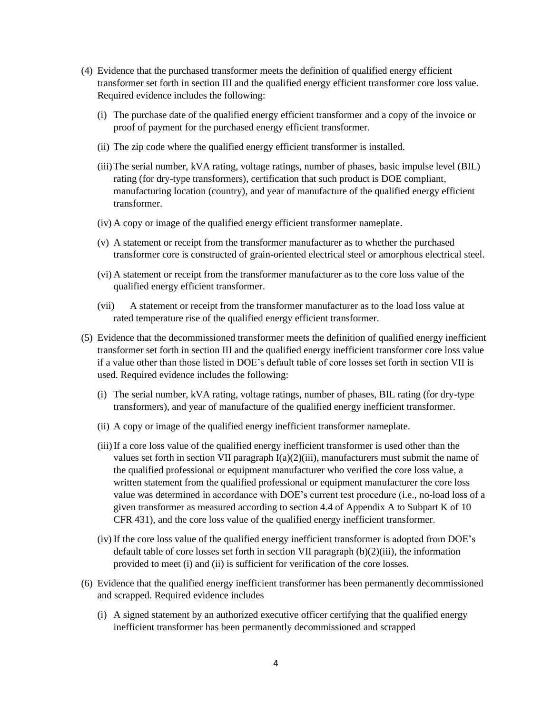- (4) Evidence that the purchased transformer meets the definition of qualified energy efficient transformer set forth in section [III](#page-0-0) and the qualified energy efficient transformer core loss value. Required evidence includes the following:
	- (i) The purchase date of the qualified energy efficient transformer and a copy of the invoice or proof of payment for the purchased energy efficient transformer.
	- (ii) The zip code where the qualified energy efficient transformer is installed.
	- (iii)The serial number, kVA rating, voltage ratings, number of phases, basic impulse level (BIL) rating (for dry-type transformers), certification that such product is DOE compliant, manufacturing location (country), and year of manufacture of the qualified energy efficient transformer.
	- (iv) A copy or image of the qualified energy efficient transformer nameplate.
	- (v) A statement or receipt from the transformer manufacturer as to whether the purchased transformer core is constructed of grain-oriented electrical steel or amorphous electrical steel.
	- (vi) A statement or receipt from the transformer manufacturer as to the core loss value of the qualified energy efficient transformer.
	- (vii) A statement or receipt from the transformer manufacturer as to the load loss value at rated temperature rise of the qualified energy efficient transformer.
- (5) Evidence that the decommissioned transformer meets the definition of qualified energy inefficient transformer set forth in section [III](#page-0-0) and the qualified energy inefficient transformer core loss value if a value other than those listed in DOE's default table of core losses set forth in section [VII](#page-4-0) is used. Required evidence includes the following:
	- (i) The serial number, kVA rating, voltage ratings, number of phases, BIL rating (for dry-type transformers), and year of manufacture of the qualified energy inefficient transformer.
	- (ii) A copy or image of the qualified energy inefficient transformer nameplate.
	- (iii)If a core loss value of the qualified energy inefficient transformer is used other than the values set forth in section [VII](#page-4-0) paragraph  $I(a)(2)(iii)$ , manufacturers must submit the name of the qualified professional or equipment manufacturer who verified the core loss value, a written statement from the qualified professional or equipment manufacturer the core loss value was determined in accordance with DOE's current test procedure (i.e., no-load loss of a given transformer as measured according to section 4.4 of Appendix A to Subpart K of 10 CFR 431), and the core loss value of the qualified energy inefficient transformer.
	- (iv) If the core loss value of the qualified energy inefficient transformer is adopted from DOE's default table of core losses set forth in section [VII](#page-4-0) paragraph [\(b\)](#page-4-2)[\(2\)](#page-4-3)[\(iii\),](#page-4-1) the information provided to meet (i) and (ii) is sufficient for verification of the core losses.
- <span id="page-3-0"></span>(6) Evidence that the qualified energy inefficient transformer has been permanently decommissioned and scrapped. Required evidence includes
	- (i) A signed statement by an authorized executive officer certifying that the qualified energy inefficient transformer has been permanently decommissioned and scrapped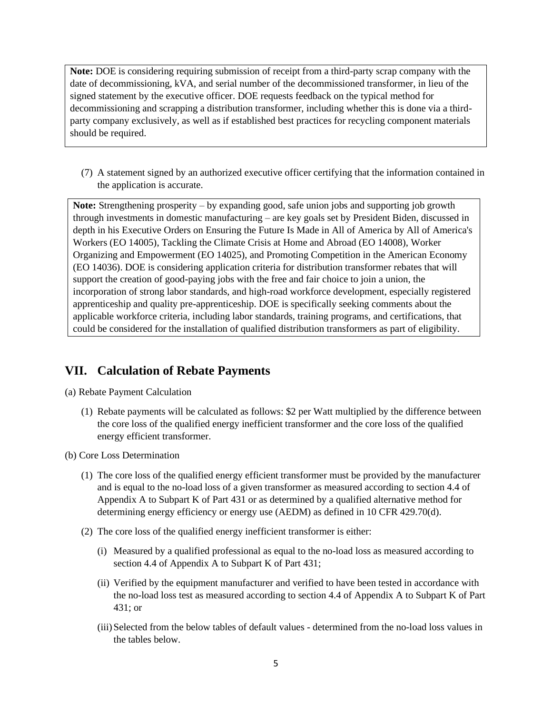**Note:** DOE is considering requiring submission of receipt from a third-party scrap company with the date of decommissioning, kVA, and serial number of the decommissioned transformer, in lieu of the signed statement by the executive officer. DOE requests feedback on the typical method for decommissioning and scrapping a distribution transformer, including whether this is done via a thirdparty company exclusively, as well as if established best practices for recycling component materials should be required.

(7) A statement signed by an authorized executive officer certifying that the information contained in the application is accurate.

**Note:** Strengthening prosperity – by expanding good, safe union jobs and supporting job growth through investments in domestic manufacturing – are key goals set by President Biden, discussed in depth in his Executive Orders on Ensuring the Future Is Made in All of America by All of America's Workers (EO 14005), Tackling the Climate Crisis at Home and Abroad (EO 14008), Worker Organizing and Empowerment (EO 14025), and Promoting Competition in the American Economy (EO 14036). DOE is considering application criteria for distribution transformer rebates that will support the creation of good-paying jobs with the free and fair choice to join a union, the incorporation of strong labor standards, and high-road workforce development, especially registered apprenticeship and quality pre-apprenticeship. DOE is specifically seeking comments about the applicable workforce criteria, including labor standards, training programs, and certifications, that could be considered for the installation of qualified distribution transformers as part of eligibility.

### <span id="page-4-0"></span>**VII. Calculation of Rebate Payments**

(a) Rebate Payment Calculation

(1) Rebate payments will be calculated as follows: \$2 per Watt multiplied by the difference between the core loss of the qualified energy inefficient transformer and the core loss of the qualified energy efficient transformer.

<span id="page-4-2"></span>(b) Core Loss Determination

- (1) The core loss of the qualified energy efficient transformer must be provided by the manufacturer and is equal to the no-load loss of a given transformer as measured according to section 4.4 of Appendix A to Subpart K of Part 431 or as determined by a qualified alternative method for determining energy efficiency or energy use (AEDM) as defined in 10 CFR 429.70(d).
- <span id="page-4-3"></span><span id="page-4-1"></span>(2) The core loss of the qualified energy inefficient transformer is either:
	- (i) Measured by a qualified professional as equal to the no-load loss as measured according to section 4.4 of Appendix A to Subpart K of Part 431;
	- (ii) Verified by the equipment manufacturer and verified to have been tested in accordance with the no-load loss test as measured according to section 4.4 of Appendix A to Subpart K of Part 431; or
	- (iii)Selected from the below tables of default values determined from the no-load loss values in the tables below.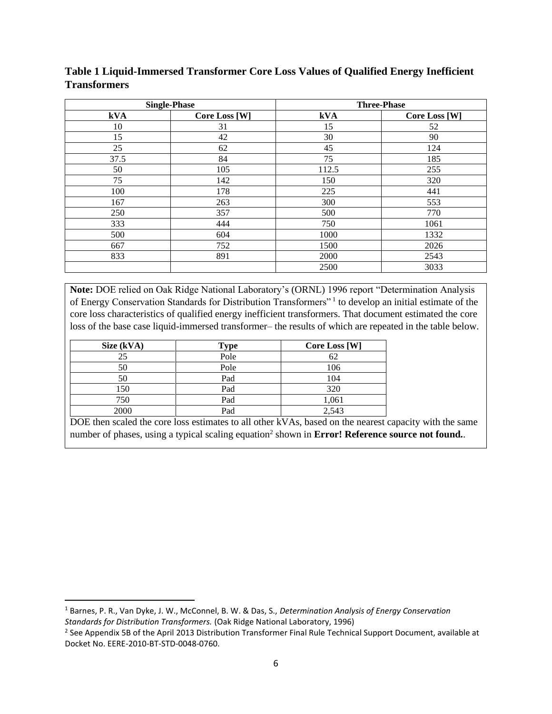|      | <b>Single-Phase</b> | <b>Three-Phase</b> |                      |
|------|---------------------|--------------------|----------------------|
| kVA  | Core Loss [W]       | kVA                | <b>Core Loss [W]</b> |
| 10   | 31                  | 15                 | 52                   |
| 15   | 42                  | 30                 | 90                   |
| 25   | 62                  | 45                 | 124                  |
| 37.5 | 84                  | 75                 | 185                  |
| 50   | 105                 | 112.5              | 255                  |
| 75   | 142                 | 150                | 320                  |
| 100  | 178                 | 225                | 441                  |
| 167  | 263                 | 300                | 553                  |
| 250  | 357                 | 500                | 770                  |
| 333  | 444                 | 750                | 1061                 |
| 500  | 604                 | 1000               | 1332                 |
| 667  | 752                 | 1500               | 2026                 |
| 833  | 891                 | 2000               | 2543                 |
|      |                     | 2500               | 3033                 |

**Table 1 Liquid-Immersed Transformer Core Loss Values of Qualified Energy Inefficient Transformers**

**Note:** DOE relied on Oak Ridge National Laboratory's (ORNL) 1996 report "Determination Analysis of Energy Conservation Standards for Distribution Transformers"<sup>1</sup> to develop an initial estimate of the core loss characteristics of qualified energy inefficient transformers. That document estimated the core loss of the base case liquid-immersed transformer– the results of which are repeated in the table below.

| Size (kVA) | <b>Type</b> | <b>Core Loss [W]</b> |
|------------|-------------|----------------------|
| 25         | Pole        | 62                   |
| 50         | Pole        | 106                  |
| 50         | Pad         | 104                  |
| 150        | Pad         | 320                  |
| 750        | Pad         | 1,061                |
| 2000       | Pad         | 2,543                |

DOE then scaled the core loss estimates to all other kVAs, based on the nearest capacity with the same number of phases, using a typical scaling equation<sup>2</sup> shown in **Error! Reference source not found.**.

<sup>1</sup> Barnes, P. R., Van Dyke, J. W., McConnel, B. W. & Das, S., *Determination Analysis of Energy Conservation Standards for Distribution Transformers.* (Oak Ridge National Laboratory, 1996)

<sup>&</sup>lt;sup>2</sup> See Appendix 5B of the April 2013 Distribution Transformer Final Rule Technical Support Document, available at Docket No. EERE-2010-BT-STD-0048-0760.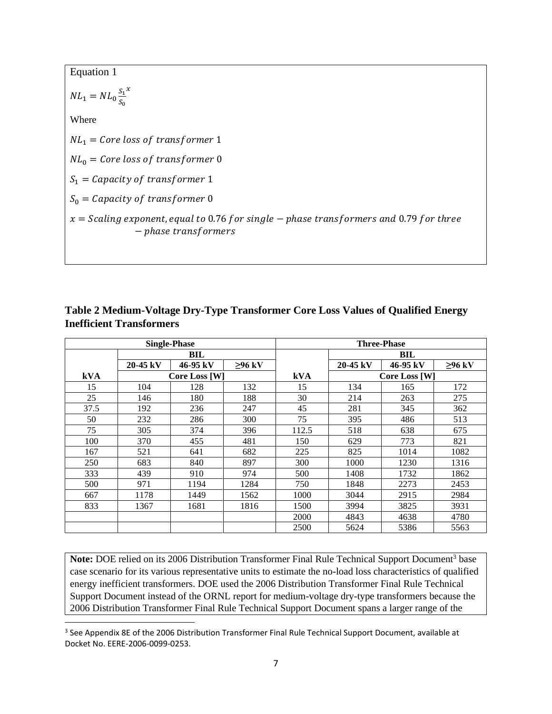| Equation 1                                                                                                        |
|-------------------------------------------------------------------------------------------------------------------|
| $NL_1 = NL_0 \frac{s_1^x}{s_2^x}$                                                                                 |
| Where                                                                                                             |
| $NL_1 = Core loss of transformer 1$                                                                               |
| $NL_0 = Core loss of transformer 0$                                                                               |
| $S_1 = Capacity$ of transformer 1                                                                                 |
| $S_0 = Capacity$ of transformer 0                                                                                 |
| $x =$ Scaling exponent, equal to 0.76 for single – phase transformers and 0.79 for three<br>$-phase$ transformers |

|      |            | <b>Single-Phase</b> |              |       |          | <b>Three-Phase</b> |              |
|------|------------|---------------------|--------------|-------|----------|--------------------|--------------|
|      |            | BIL                 |              |       |          | BIL                |              |
|      | $20-45$ kV | 46-95 kV            | $\geq$ 96 kV |       | 20-45 kV | 46-95 kV           | $\geq$ 96 kV |
| kVA  |            | Core Loss [W]       |              | kVA   |          | Core Loss [W]      |              |
| 15   | 104        | 128                 | 132          | 15    | 134      | 165                | 172          |
| 25   | 146        | 180                 | 188          | 30    | 214      | 263                | 275          |
| 37.5 | 192        | 236                 | 247          | 45    | 281      | 345                | 362          |
| 50   | 232        | 286                 | 300          | 75    | 395      | 486                | 513          |
| 75   | 305        | 374                 | 396          | 112.5 | 518      | 638                | 675          |
| 100  | 370        | 455                 | 481          | 150   | 629      | 773                | 821          |
| 167  | 521        | 641                 | 682          | 225   | 825      | 1014               | 1082         |
| 250  | 683        | 840                 | 897          | 300   | 1000     | 1230               | 1316         |
| 333  | 439        | 910                 | 974          | 500   | 1408     | 1732               | 1862         |
| 500  | 971        | 1194                | 1284         | 750   | 1848     | 2273               | 2453         |
| 667  | 1178       | 1449                | 1562         | 1000  | 3044     | 2915               | 2984         |
| 833  | 1367       | 1681                | 1816         | 1500  | 3994     | 3825               | 3931         |
|      |            |                     |              | 2000  | 4843     | 4638               | 4780         |
|      |            |                     |              | 2500  | 5624     | 5386               | 5563         |

**Table 2 Medium-Voltage Dry-Type Transformer Core Loss Values of Qualified Energy Inefficient Transformers**

Note: DOE relied on its 2006 Distribution Transformer Final Rule Technical Support Document<sup>3</sup> base case scenario for its various representative units to estimate the no-load loss characteristics of qualified energy inefficient transformers. DOE used the 2006 Distribution Transformer Final Rule Technical Support Document instead of the ORNL report for medium-voltage dry-type transformers because the 2006 Distribution Transformer Final Rule Technical Support Document spans a larger range of the

<sup>&</sup>lt;sup>3</sup> See Appendix 8E of the 2006 Distribution Transformer Final Rule Technical Support Document, available at Docket No. EERE-2006-0099-0253.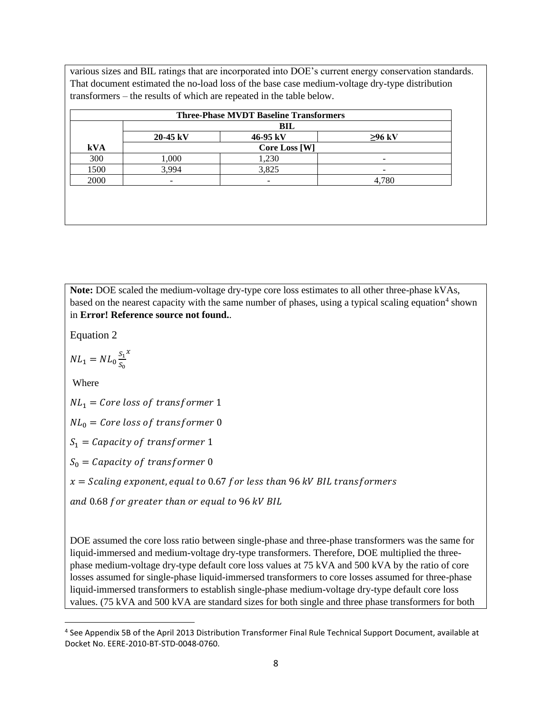various sizes and BIL ratings that are incorporated into DOE's current energy conservation standards. That document estimated the no-load loss of the base case medium-voltage dry-type distribution transformers – the results of which are repeated in the table below.

|            | $20-45$ kV           | <b>BIL</b><br>46-95 kV | $\geq$ 96 kV |
|------------|----------------------|------------------------|--------------|
| <b>kVA</b> | <b>Core Loss [W]</b> |                        |              |
| 300        | 1,000                | 1,230                  |              |
| 1500       | 3,994                | 3,825                  |              |
| 2000       |                      |                        | 4,780        |

**Note:** DOE scaled the medium-voltage dry-type core loss estimates to all other three-phase kVAs, based on the nearest capacity with the same number of phases, using a typical scaling equation<sup>4</sup> shown in **Error! Reference source not found.**.

Equation 2

$$
NL_1 = NL_0 \frac{s_1^x}{s_0}
$$

Where

 $NL_1 = Core loss of transformer 1$ 

 $NL_0 = Core loss of transformer 0$ 

 $S_1 = Capacity$  of transformer 1

 $S_0 = Capacity$  of transformer 0

 $x =$  Scaling exponent, equal to 0.67 for less than 96 kV BIL transformers

and 0.68 for greater than or equal to 96 kV BIL

DOE assumed the core loss ratio between single-phase and three-phase transformers was the same for liquid-immersed and medium-voltage dry-type transformers. Therefore, DOE multiplied the threephase medium-voltage dry-type default core loss values at 75 kVA and 500 kVA by the ratio of core losses assumed for single-phase liquid-immersed transformers to core losses assumed for three-phase liquid-immersed transformers to establish single-phase medium-voltage dry-type default core loss values. (75 kVA and 500 kVA are standard sizes for both single and three phase transformers for both

<sup>4</sup> See Appendix 5B of the April 2013 Distribution Transformer Final Rule Technical Support Document, available at Docket No. EERE-2010-BT-STD-0048-0760.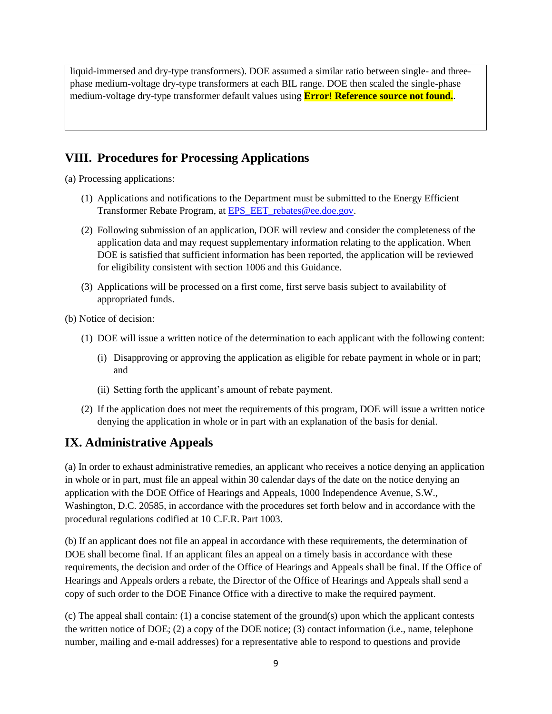liquid-immersed and dry-type transformers). DOE assumed a similar ratio between single- and threephase medium-voltage dry-type transformers at each BIL range. DOE then scaled the single-phase medium-voltage dry-type transformer default values using **Error! Reference source not found.**.

## **VIII. Procedures for Processing Applications**

(a) Processing applications:

- (1) Applications and notifications to the Department must be submitted to the Energy Efficient Transformer Rebate Program, at [EPS\\_EET\\_rebates@ee.doe.gov.](mailto:EPS_EET_rebates@ee.doe.gov)
- (2) Following submission of an application, DOE will review and consider the completeness of the application data and may request supplementary information relating to the application. When DOE is satisfied that sufficient information has been reported, the application will be reviewed for eligibility consistent with section 1006 and this Guidance.
- (3) Applications will be processed on a first come, first serve basis subject to availability of appropriated funds.

(b) Notice of decision:

- (1) DOE will issue a written notice of the determination to each applicant with the following content:
	- (i) Disapproving or approving the application as eligible for rebate payment in whole or in part; and
	- (ii) Setting forth the applicant's amount of rebate payment.
- (2) If the application does not meet the requirements of this program, DOE will issue a written notice denying the application in whole or in part with an explanation of the basis for denial.

# **IX. Administrative Appeals**

(a) In order to exhaust administrative remedies, an applicant who receives a notice denying an application in whole or in part, must file an appeal within 30 calendar days of the date on the notice denying an application with the DOE Office of Hearings and Appeals, 1000 Independence Avenue, S.W., Washington, D.C. 20585, in accordance with the procedures set forth below and in accordance with the procedural regulations codified at 10 C.F.R. Part 1003.

(b) If an applicant does not file an appeal in accordance with these requirements, the determination of DOE shall become final. If an applicant files an appeal on a timely basis in accordance with these requirements, the decision and order of the Office of Hearings and Appeals shall be final. If the Office of Hearings and Appeals orders a rebate, the Director of the Office of Hearings and Appeals shall send a copy of such order to the DOE Finance Office with a directive to make the required payment.

(c) The appeal shall contain: (1) a concise statement of the ground(s) upon which the applicant contests the written notice of DOE; (2) a copy of the DOE notice; (3) contact information (i.e., name, telephone number, mailing and e-mail addresses) for a representative able to respond to questions and provide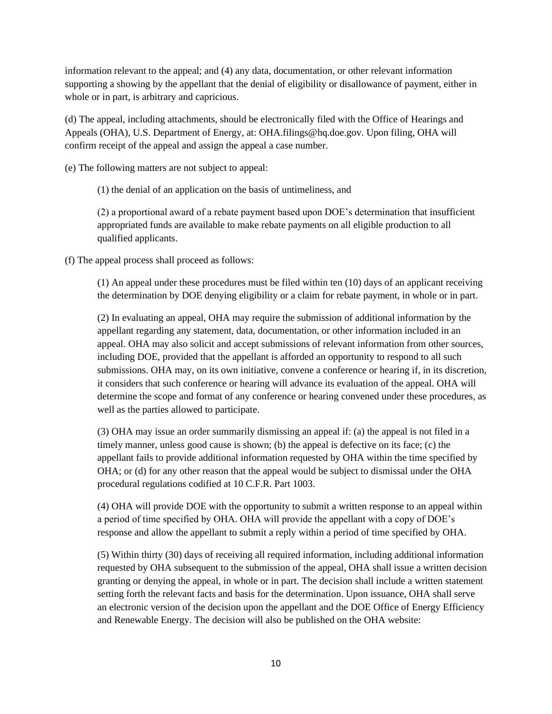information relevant to the appeal; and (4) any data, documentation, or other relevant information supporting a showing by the appellant that the denial of eligibility or disallowance of payment, either in whole or in part, is arbitrary and capricious.

(d) The appeal, including attachments, should be electronically filed with the Office of Hearings and Appeals (OHA), U.S. Department of Energy, at: OHA.filings@hq.doe.gov. Upon filing, OHA will confirm receipt of the appeal and assign the appeal a case number.

(e) The following matters are not subject to appeal:

(1) the denial of an application on the basis of untimeliness, and

(2) a proportional award of a rebate payment based upon DOE's determination that insufficient appropriated funds are available to make rebate payments on all eligible production to all qualified applicants.

(f) The appeal process shall proceed as follows:

(1) An appeal under these procedures must be filed within ten (10) days of an applicant receiving the determination by DOE denying eligibility or a claim for rebate payment, in whole or in part.

(2) In evaluating an appeal, OHA may require the submission of additional information by the appellant regarding any statement, data, documentation, or other information included in an appeal. OHA may also solicit and accept submissions of relevant information from other sources, including DOE, provided that the appellant is afforded an opportunity to respond to all such submissions. OHA may, on its own initiative, convene a conference or hearing if, in its discretion, it considers that such conference or hearing will advance its evaluation of the appeal. OHA will determine the scope and format of any conference or hearing convened under these procedures, as well as the parties allowed to participate.

(3) OHA may issue an order summarily dismissing an appeal if: (a) the appeal is not filed in a timely manner, unless good cause is shown; (b) the appeal is defective on its face; (c) the appellant fails to provide additional information requested by OHA within the time specified by OHA; or (d) for any other reason that the appeal would be subject to dismissal under the OHA procedural regulations codified at 10 C.F.R. Part 1003.

(4) OHA will provide DOE with the opportunity to submit a written response to an appeal within a period of time specified by OHA. OHA will provide the appellant with a copy of DOE's response and allow the appellant to submit a reply within a period of time specified by OHA.

(5) Within thirty (30) days of receiving all required information, including additional information requested by OHA subsequent to the submission of the appeal, OHA shall issue a written decision granting or denying the appeal, in whole or in part. The decision shall include a written statement setting forth the relevant facts and basis for the determination. Upon issuance, OHA shall serve an electronic version of the decision upon the appellant and the DOE Office of Energy Efficiency and Renewable Energy. The decision will also be published on the OHA website: